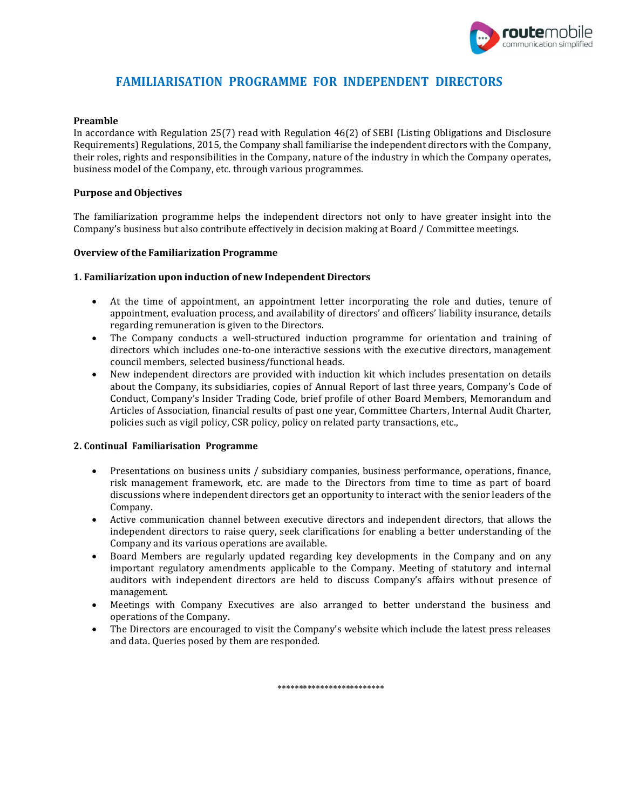

# FAMILIARISATION PROGRAMME FOR INDEPENDENT DIRECTORS

### Preamble

In accordance with Regulation 25(7) read with Regulation 46(2) of SEBI (Listing Obligations and Disclosure Requirements) Regulations, 2015, the Company shall familiarise the independent directors with the Company, their roles, rights and responsibilities in the Company, nature of the industry in which the Company operates, business model of the Company, etc. through various programmes.

#### Purpose and Objectives

The familiarization programme helps the independent directors not only to have greater insight into the Company's business but also contribute effectively in decision making at Board / Committee meetings.

#### Overview of the Familiarization Programme

#### 1. Familiarization upon induction of new Independent Directors

- At the time of appointment, an appointment letter incorporating the role and duties, tenure of appointment, evaluation process, and availability of directors' and officers' liability insurance, details regarding remuneration is given to the Directors.
- The Company conducts a well-structured induction programme for orientation and training of directors which includes one-to-one interactive sessions with the executive directors, management council members, selected business/functional heads.
- New independent directors are provided with induction kit which includes presentation on details about the Company, its subsidiaries, copies of Annual Report of last three years, Company's Code of Conduct, Company's Insider Trading Code, brief profile of other Board Members, Memorandum and Articles of Association, financial results of past one year, Committee Charters, Internal Audit Charter, policies such as vigil policy, CSR policy, policy on related party transactions, etc.,

#### 2. Continual Familiarisation Programme

- Presentations on business units / subsidiary companies, business performance, operations, finance, risk management framework, etc. are made to the Directors from time to time as part of board discussions where independent directors get an opportunity to interact with the senior leaders of the Company.
- Active communication channel between executive directors and independent directors, that allows the independent directors to raise query, seek clarifications for enabling a better understanding of the Company and its various operations are available.
- Board Members are regularly updated regarding key developments in the Company and on any important regulatory amendments applicable to the Company. Meeting of statutory and internal auditors with independent directors are held to discuss Company's affairs without presence of management.
- Meetings with Company Executives are also arranged to better understand the business and operations of the Company.
- The Directors are encouraged to visit the Company's website which include the latest press releases and data. Queries posed by them are responded.

\*\*\*\*\*\*\*\*\*\*\*\*\*\*\*\*\*\*\*\*\*\*\*\*\*